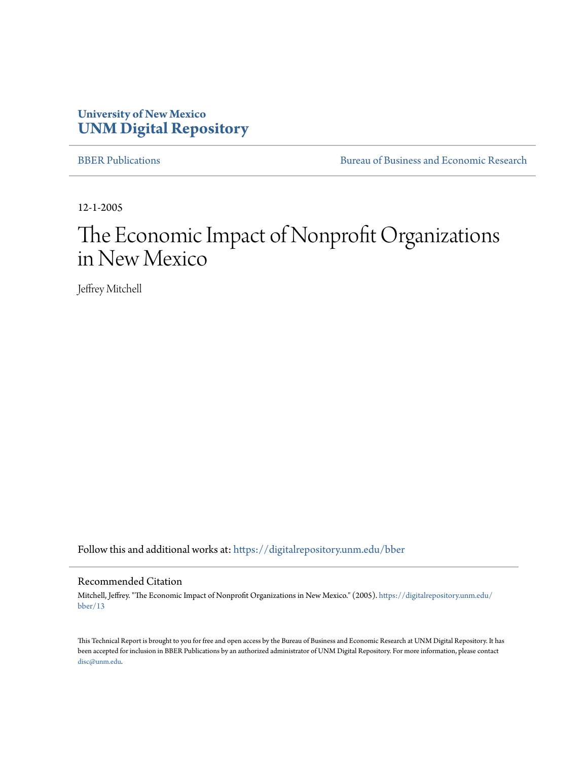## **University of New Mexico [UNM Digital Repository](https://digitalrepository.unm.edu?utm_source=digitalrepository.unm.edu%2Fbber%2F13&utm_medium=PDF&utm_campaign=PDFCoverPages)**

[BBER Publications](https://digitalrepository.unm.edu/bber?utm_source=digitalrepository.unm.edu%2Fbber%2F13&utm_medium=PDF&utm_campaign=PDFCoverPages) [Bureau of Business and Economic Research](https://digitalrepository.unm.edu/business_economic_research?utm_source=digitalrepository.unm.edu%2Fbber%2F13&utm_medium=PDF&utm_campaign=PDFCoverPages)

12-1-2005

# The Economic Impact of Nonprofit Organizations in New Mexico

Jeffrey Mitchell

Follow this and additional works at: [https://digitalrepository.unm.edu/bber](https://digitalrepository.unm.edu/bber?utm_source=digitalrepository.unm.edu%2Fbber%2F13&utm_medium=PDF&utm_campaign=PDFCoverPages)

#### Recommended Citation

Mitchell, Jeffrey. "The Economic Impact of Nonprofit Organizations in New Mexico." (2005). [https://digitalrepository.unm.edu/](https://digitalrepository.unm.edu/bber/13?utm_source=digitalrepository.unm.edu%2Fbber%2F13&utm_medium=PDF&utm_campaign=PDFCoverPages) [bber/13](https://digitalrepository.unm.edu/bber/13?utm_source=digitalrepository.unm.edu%2Fbber%2F13&utm_medium=PDF&utm_campaign=PDFCoverPages)

This Technical Report is brought to you for free and open access by the Bureau of Business and Economic Research at UNM Digital Repository. It has been accepted for inclusion in BBER Publications by an authorized administrator of UNM Digital Repository. For more information, please contact [disc@unm.edu](mailto:disc@unm.edu).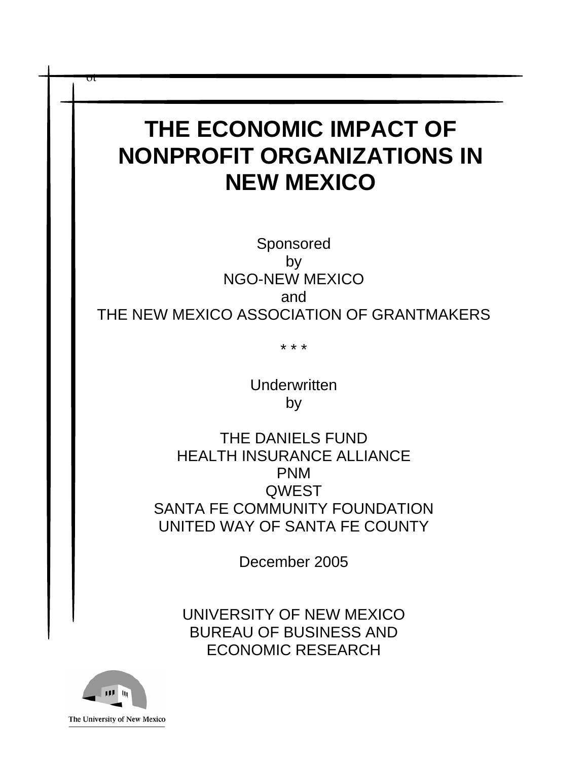# **THE ECONOMIC IMPACT OF NONPROFIT ORGANIZATIONS IN NEW MEXICO**

Sponsored by NGO-NEW MEXICO and THE NEW MEXICO ASSOCIATION OF GRANTMAKERS

\* \* \*

Underwritten by

THE DANIELS FUND HEALTH INSURANCE ALLIANCE PNM **QWEST** SANTA FE COMMUNITY FOUNDATION UNITED WAY OF SANTA FE COUNTY

December 2005

UNIVERSITY OF NEW MEXICO BUREAU OF BUSINESS AND ECONOMIC RESEARCH



ot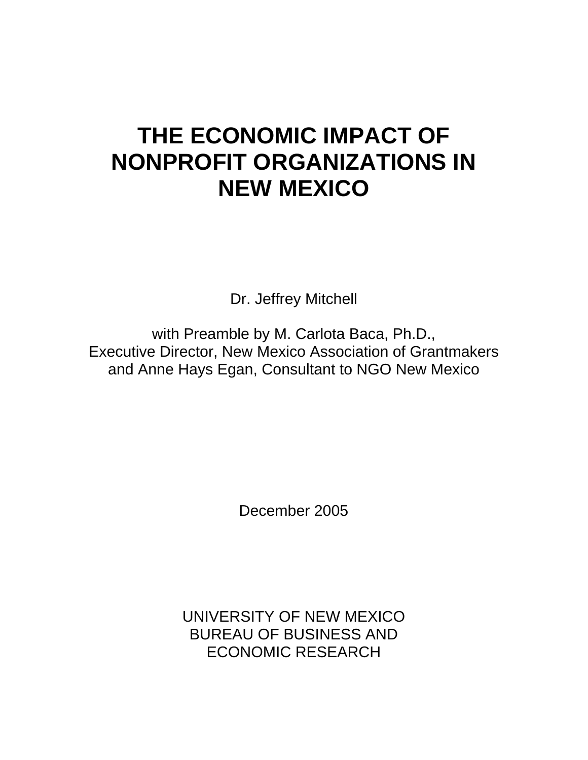# **THE ECONOMIC IMPACT OF NONPROFIT ORGANIZATIONS IN NEW MEXICO**

Dr. Jeffrey Mitchell

with Preamble by M. Carlota Baca, Ph.D., Executive Director, New Mexico Association of Grantmakers and Anne Hays Egan, Consultant to NGO New Mexico

December 2005

UNIVERSITY OF NEW MEXICO BUREAU OF BUSINESS AND ECONOMIC RESEARCH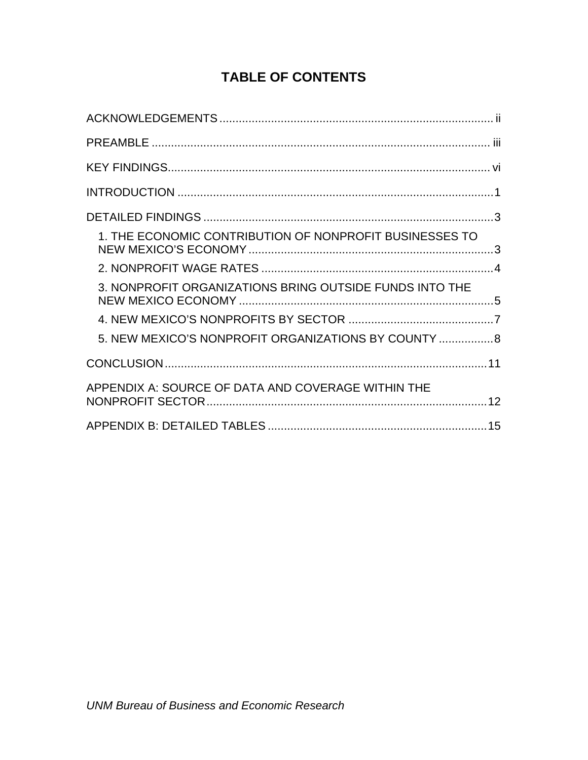# **TABLE OF CONTENTS**

| 1. THE ECONOMIC CONTRIBUTION OF NONPROFIT BUSINESSES TO |  |
|---------------------------------------------------------|--|
|                                                         |  |
| 3. NONPROFIT ORGANIZATIONS BRING OUTSIDE FUNDS INTO THE |  |
|                                                         |  |
| 5. NEW MEXICO'S NONPROFIT ORGANIZATIONS BY COUNTY  8    |  |
|                                                         |  |
| APPENDIX A: SOURCE OF DATA AND COVERAGE WITHIN THE      |  |
|                                                         |  |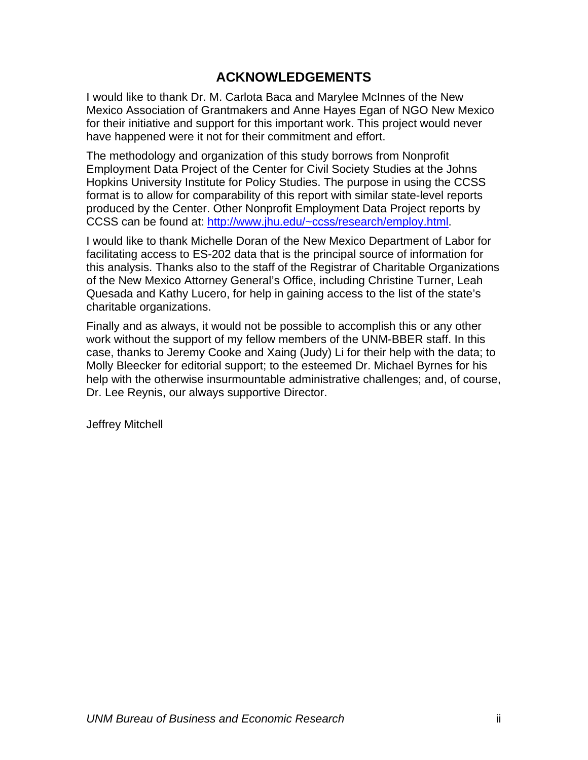# **ACKNOWLEDGEMENTS**

<span id="page-4-0"></span>I would like to thank Dr. M. Carlota Baca and Marylee McInnes of the New Mexico Association of Grantmakers and Anne Hayes Egan of NGO New Mexico for their initiative and support for this important work. This project would never have happened were it not for their commitment and effort.

The methodology and organization of this study borrows from Nonprofit Employment Data Project of the Center for Civil Society Studies at the Johns Hopkins University Institute for Policy Studies. The purpose in using the CCSS format is to allow for comparability of this report with similar state-level reports produced by the Center. Other Nonprofit Employment Data Project reports by CCSS can be found at: [http://www.jhu.edu/~ccss/research/employ.html](http://www.jhu.edu/%7Eccss/research/employ.html).

I would like to thank Michelle Doran of the New Mexico Department of Labor for facilitating access to ES-202 data that is the principal source of information for this analysis. Thanks also to the staff of the Registrar of Charitable Organizations of the New Mexico Attorney General's Office, including Christine Turner, Leah Quesada and Kathy Lucero, for help in gaining access to the list of the state's charitable organizations.

Finally and as always, it would not be possible to accomplish this or any other work without the support of my fellow members of the UNM-BBER staff. In this case, thanks to Jeremy Cooke and Xaing (Judy) Li for their help with the data; to Molly Bleecker for editorial support; to the esteemed Dr. Michael Byrnes for his help with the otherwise insurmountable administrative challenges; and, of course, Dr. Lee Reynis, our always supportive Director.

Jeffrey Mitchell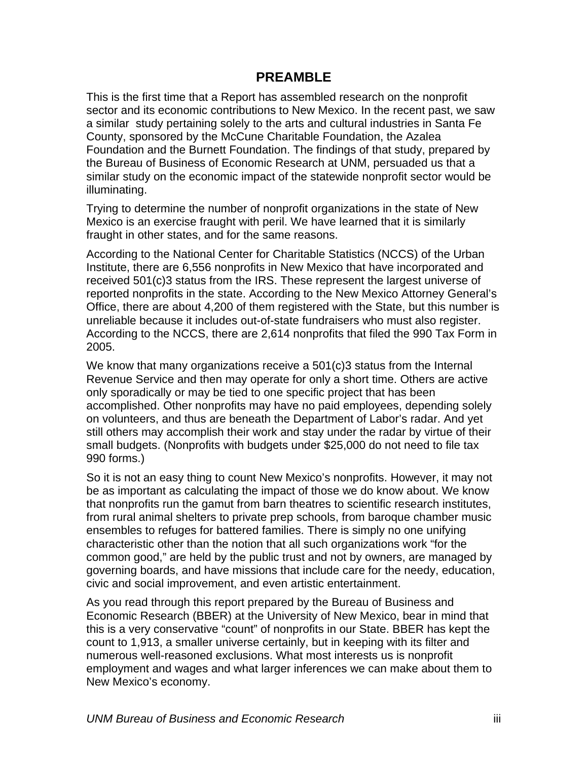## **PREAMBLE**

<span id="page-5-0"></span>This is the first time that a Report has assembled research on the nonprofit sector and its economic contributions to New Mexico. In the recent past, we saw a similar study pertaining solely to the arts and cultural industries in Santa Fe County, sponsored by the McCune Charitable Foundation, the Azalea Foundation and the Burnett Foundation. The findings of that study, prepared by the Bureau of Business of Economic Research at UNM, persuaded us that a similar study on the economic impact of the statewide nonprofit sector would be illuminating.

Trying to determine the number of nonprofit organizations in the state of New Mexico is an exercise fraught with peril. We have learned that it is similarly fraught in other states, and for the same reasons.

According to the National Center for Charitable Statistics (NCCS) of the Urban Institute, there are 6,556 nonprofits in New Mexico that have incorporated and received 501(c)3 status from the IRS. These represent the largest universe of reported nonprofits in the state. According to the New Mexico Attorney General's Office, there are about 4,200 of them registered with the State, but this number is unreliable because it includes out-of-state fundraisers who must also register. According to the NCCS, there are 2,614 nonprofits that filed the 990 Tax Form in 2005.

We know that many organizations receive a 501(c)3 status from the Internal Revenue Service and then may operate for only a short time. Others are active only sporadically or may be tied to one specific project that has been accomplished. Other nonprofits may have no paid employees, depending solely on volunteers, and thus are beneath the Department of Labor's radar. And yet still others may accomplish their work and stay under the radar by virtue of their small budgets. (Nonprofits with budgets under \$25,000 do not need to file tax 990 forms.)

So it is not an easy thing to count New Mexico's nonprofits. However, it may not be as important as calculating the impact of those we do know about. We know that nonprofits run the gamut from barn theatres to scientific research institutes, from rural animal shelters to private prep schools, from baroque chamber music ensembles to refuges for battered families. There is simply no one unifying characteristic other than the notion that all such organizations work "for the common good," are held by the public trust and not by owners, are managed by governing boards, and have missions that include care for the needy, education, civic and social improvement, and even artistic entertainment.

As you read through this report prepared by the Bureau of Business and Economic Research (BBER) at the University of New Mexico, bear in mind that this is a very conservative "count" of nonprofits in our State. BBER has kept the count to 1,913, a smaller universe certainly, but in keeping with its filter and numerous well-reasoned exclusions. What most interests us is nonprofit employment and wages and what larger inferences we can make about them to New Mexico's economy.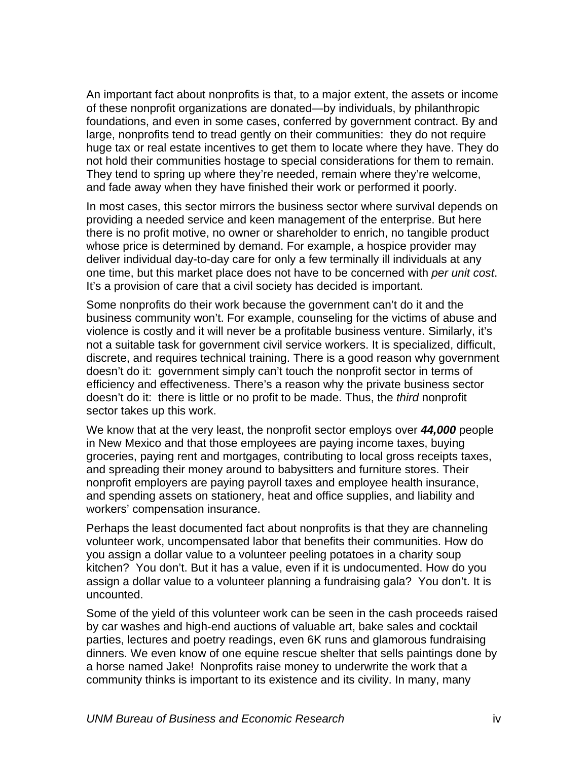An important fact about nonprofits is that, to a major extent, the assets or income of these nonprofit organizations are donated—by individuals, by philanthropic foundations, and even in some cases, conferred by government contract. By and large, nonprofits tend to tread gently on their communities: they do not require huge tax or real estate incentives to get them to locate where they have. They do not hold their communities hostage to special considerations for them to remain. They tend to spring up where they're needed, remain where they're welcome, and fade away when they have finished their work or performed it poorly.

In most cases, this sector mirrors the business sector where survival depends on providing a needed service and keen management of the enterprise. But here there is no profit motive, no owner or shareholder to enrich, no tangible product whose price is determined by demand. For example, a hospice provider may deliver individual day-to-day care for only a few terminally ill individuals at any one time, but this market place does not have to be concerned with *per unit cost*. It's a provision of care that a civil society has decided is important.

Some nonprofits do their work because the government can't do it and the business community won't. For example, counseling for the victims of abuse and violence is costly and it will never be a profitable business venture. Similarly, it's not a suitable task for government civil service workers. It is specialized, difficult, discrete, and requires technical training. There is a good reason why government doesn't do it: government simply can't touch the nonprofit sector in terms of efficiency and effectiveness. There's a reason why the private business sector doesn't do it: there is little or no profit to be made. Thus, the *third* nonprofit sector takes up this work.

We know that at the very least, the nonprofit sector employs over *44,000* people in New Mexico and that those employees are paying income taxes, buying groceries, paying rent and mortgages, contributing to local gross receipts taxes, and spreading their money around to babysitters and furniture stores. Their nonprofit employers are paying payroll taxes and employee health insurance, and spending assets on stationery, heat and office supplies, and liability and workers' compensation insurance.

Perhaps the least documented fact about nonprofits is that they are channeling volunteer work, uncompensated labor that benefits their communities. How do you assign a dollar value to a volunteer peeling potatoes in a charity soup kitchen? You don't. But it has a value, even if it is undocumented. How do you assign a dollar value to a volunteer planning a fundraising gala? You don't. It is uncounted.

Some of the yield of this volunteer work can be seen in the cash proceeds raised by car washes and high-end auctions of valuable art, bake sales and cocktail parties, lectures and poetry readings, even 6K runs and glamorous fundraising dinners. We even know of one equine rescue shelter that sells paintings done by a horse named Jake! Nonprofits raise money to underwrite the work that a community thinks is important to its existence and its civility. In many, many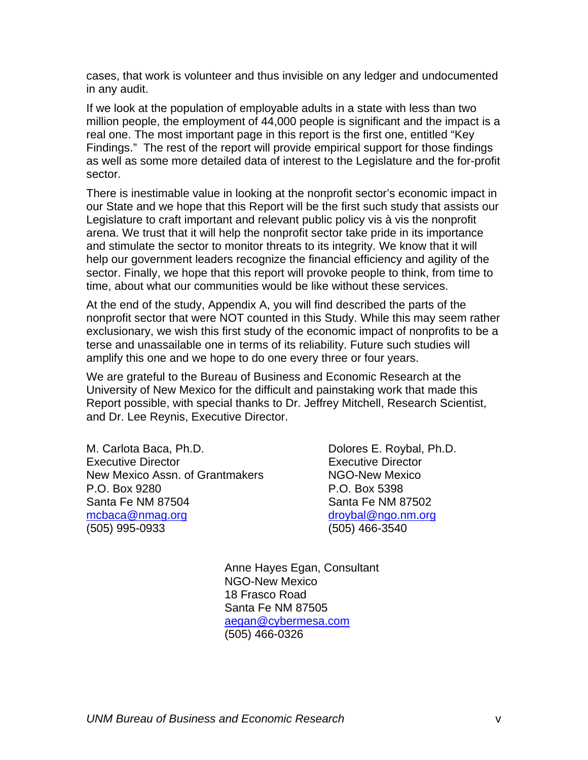cases, that work is volunteer and thus invisible on any ledger and undocumented in any audit.

If we look at the population of employable adults in a state with less than two million people, the employment of 44,000 people is significant and the impact is a real one. The most important page in this report is the first one, entitled "Key Findings." The rest of the report will provide empirical support for those findings as well as some more detailed data of interest to the Legislature and the for-profit sector.

There is inestimable value in looking at the nonprofit sector's economic impact in our State and we hope that this Report will be the first such study that assists our Legislature to craft important and relevant public policy vis à vis the nonprofit arena. We trust that it will help the nonprofit sector take pride in its importance and stimulate the sector to monitor threats to its integrity. We know that it will help our government leaders recognize the financial efficiency and agility of the sector. Finally, we hope that this report will provoke people to think, from time to time, about what our communities would be like without these services.

At the end of the study, Appendix A, you will find described the parts of the nonprofit sector that were NOT counted in this Study. While this may seem rather exclusionary, we wish this first study of the economic impact of nonprofits to be a terse and unassailable one in terms of its reliability. Future such studies will amplify this one and we hope to do one every three or four years.

We are grateful to the Bureau of Business and Economic Research at the University of New Mexico for the difficult and painstaking work that made this Report possible, with special thanks to Dr. Jeffrey Mitchell, Research Scientist, and Dr. Lee Reynis, Executive Director.

M. Carlota Baca, Ph.D. Carlota Buches E. Roybal, Ph.D. Executive Director Executive Director New Mexico Assn. of Grantmakers NGO-New Mexico P.O. Box 9280 P.O. Box 5398 Santa Fe NM 87504 Santa Fe NM 87502 [mcbaca@nmag.org](mailto:mcbaca@nmag.org) [droybal@ngo.nm.org](mailto:droybal@ngo.nm.org) (505) 995-0933 (505) 466-3540

Anne Hayes Egan, Consultant NGO-New Mexico 18 Frasco Road Santa Fe NM 87505 [aegan@cybermesa.com](mailto:aegan@cybermesa.com) (505) 466-0326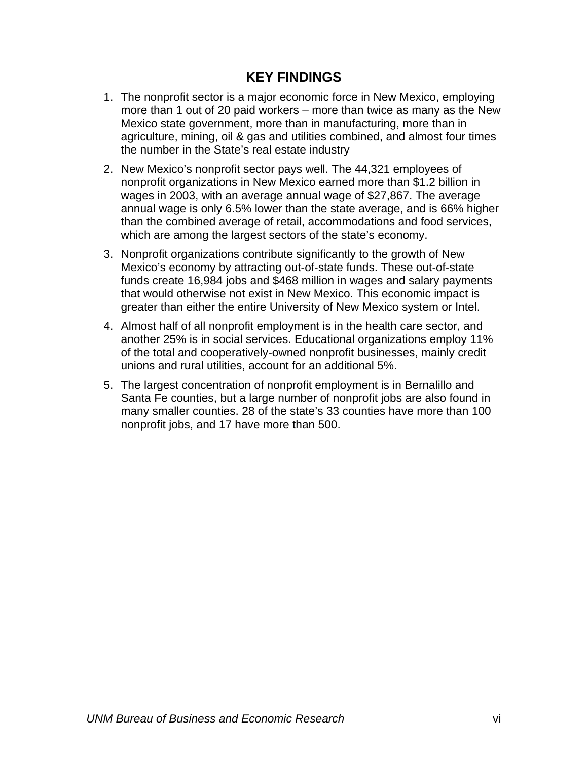## **KEY FINDINGS**

- <span id="page-8-0"></span>1. The nonprofit sector is a major economic force in New Mexico, employing more than 1 out of 20 paid workers – more than twice as many as the New Mexico state government, more than in manufacturing, more than in agriculture, mining, oil & gas and utilities combined, and almost four times the number in the State's real estate industry
- 2. New Mexico's nonprofit sector pays well. The 44,321 employees of nonprofit organizations in New Mexico earned more than \$1.2 billion in wages in 2003, with an average annual wage of \$27,867. The average annual wage is only 6.5% lower than the state average, and is 66% higher than the combined average of retail, accommodations and food services, which are among the largest sectors of the state's economy.
- 3. Nonprofit organizations contribute significantly to the growth of New Mexico's economy by attracting out-of-state funds. These out-of-state funds create 16,984 jobs and \$468 million in wages and salary payments that would otherwise not exist in New Mexico. This economic impact is greater than either the entire University of New Mexico system or Intel.
- 4. Almost half of all nonprofit employment is in the health care sector, and another 25% is in social services. Educational organizations employ 11% of the total and cooperatively-owned nonprofit businesses, mainly credit unions and rural utilities, account for an additional 5%.
- 5. The largest concentration of nonprofit employment is in Bernalillo and Santa Fe counties, but a large number of nonprofit jobs are also found in many smaller counties. 28 of the state's 33 counties have more than 100 nonprofit jobs, and 17 have more than 500.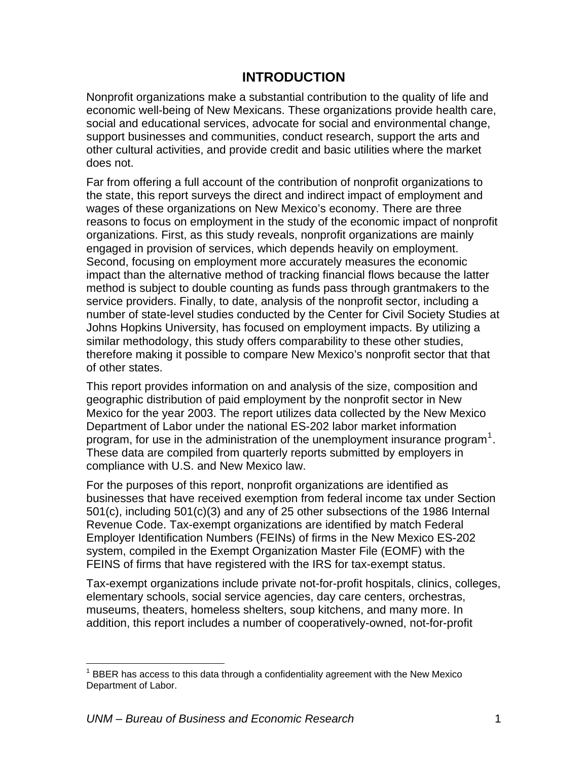## **INTRODUCTION**

<span id="page-9-0"></span>Nonprofit organizations make a substantial contribution to the quality of life and economic well-being of New Mexicans. These organizations provide health care, social and educational services, advocate for social and environmental change, support businesses and communities, conduct research, support the arts and other cultural activities, and provide credit and basic utilities where the market does not.

Far from offering a full account of the contribution of nonprofit organizations to the state, this report surveys the direct and indirect impact of employment and wages of these organizations on New Mexico's economy. There are three reasons to focus on employment in the study of the economic impact of nonprofit organizations. First, as this study reveals, nonprofit organizations are mainly engaged in provision of services, which depends heavily on employment. Second, focusing on employment more accurately measures the economic impact than the alternative method of tracking financial flows because the latter method is subject to double counting as funds pass through grantmakers to the service providers. Finally, to date, analysis of the nonprofit sector, including a number of state-level studies conducted by the Center for Civil Society Studies at Johns Hopkins University, has focused on employment impacts. By utilizing a similar methodology, this study offers comparability to these other studies, therefore making it possible to compare New Mexico's nonprofit sector that that of other states.

This report provides information on and analysis of the size, composition and geographic distribution of paid employment by the nonprofit sector in New Mexico for the year 2003. The report utilizes data collected by the New Mexico Department of Labor under the national ES-202 labor market information program, for use in the administration of the unemployment insurance program<sup>[1](#page-9-0)</sup>. These data are compiled from quarterly reports submitted by employers in compliance with U.S. and New Mexico law.

For the purposes of this report, nonprofit organizations are identified as businesses that have received exemption from federal income tax under Section 501(c), including 501(c)(3) and any of 25 other subsections of the 1986 Internal Revenue Code. Tax-exempt organizations are identified by match Federal Employer Identification Numbers (FEINs) of firms in the New Mexico ES-202 system, compiled in the Exempt Organization Master File (EOMF) with the FEINS of firms that have registered with the IRS for tax-exempt status.

Tax-exempt organizations include private not-for-profit hospitals, clinics, colleges, elementary schools, social service agencies, day care centers, orchestras, museums, theaters, homeless shelters, soup kitchens, and many more. In addition, this report includes a number of cooperatively-owned, not-for-profit

1

 $1$  BBER has access to this data through a confidentiality agreement with the New Mexico Department of Labor.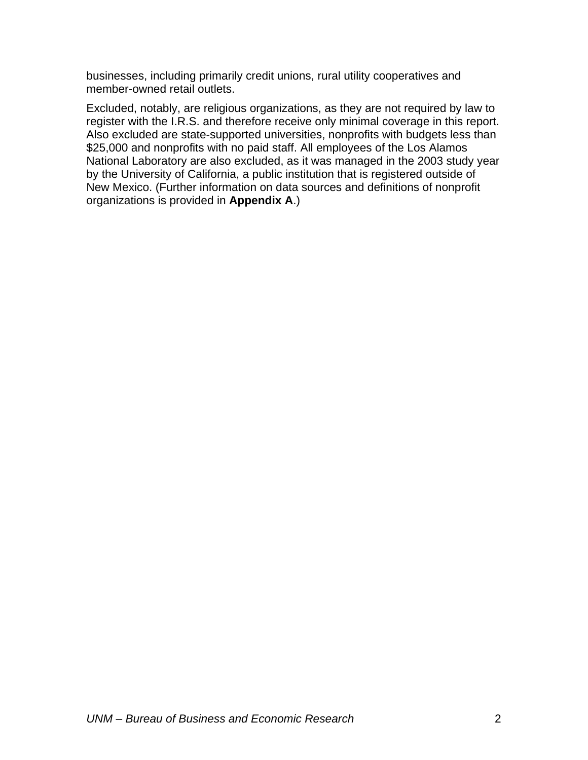businesses, including primarily credit unions, rural utility cooperatives and member-owned retail outlets.

Excluded, notably, are religious organizations, as they are not required by law to register with the I.R.S. and therefore receive only minimal coverage in this report. Also excluded are state-supported universities, nonprofits with budgets less than \$25,000 and nonprofits with no paid staff. All employees of the Los Alamos National Laboratory are also excluded, as it was managed in the 2003 study year by the University of California, a public institution that is registered outside of New Mexico. (Further information on data sources and definitions of nonprofit organizations is provided in **Appendix A**.)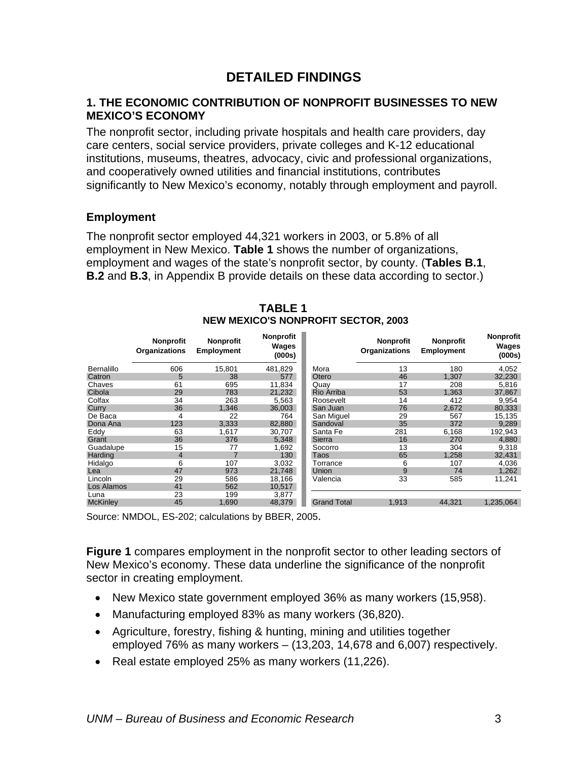## **DETAILED FINDINGS**

#### <span id="page-11-0"></span>**1. THE ECONOMIC CONTRIBUTION OF NONPROFIT BUSINESSES TO NEW MEXICO'S ECONOMY**

The nonprofit sector, including private hospitals and health care providers, day care centers, social service providers, private colleges and K-12 educational institutions, museums, theatres, advocacy, civic and professional organizations, and cooperatively owned utilities and financial institutions, contributes significantly to New Mexico's economy, notably through employment and payroll.

## **Employment**

The nonprofit sector employed 44,321 workers in 2003, or 5.8% of all employment in New Mexico. **Table 1** shows the number of organizations, employment and wages of the state's nonprofit sector, by county. (**Tables B.1**, **B.2** and **B.3**, in Appendix B provide details on these data according to sector.)

|                   | <b>Nonprofit</b><br><b>Organizations</b> | <b>Nonprofit</b><br>Employment | <b>Nonprofit</b><br>Wages<br>(000s) |                    | <b>Nonprofit</b><br><b>Organizations</b> | <b>Nonprofit</b><br><b>Employment</b> | <b>Nonprofit</b><br>Wages<br>(000s) |
|-------------------|------------------------------------------|--------------------------------|-------------------------------------|--------------------|------------------------------------------|---------------------------------------|-------------------------------------|
| <b>Bernalillo</b> | 606                                      | 15,801                         | 481,829                             | Mora               | 13                                       | 180                                   | 4,052                               |
| Catron            | 5                                        | 38                             | 577                                 | Otero              | 46                                       | 1,307                                 | 32,230                              |
| Chaves            | 61                                       | 695                            | 11,834                              | Quay               | 17                                       | 208                                   | 5,816                               |
| Cibola            | 29                                       | 783                            | 21,232                              | Rio Arriba         | 53                                       | 1,363                                 | 37,867                              |
| Colfax            | 34                                       | 263                            | 5,563                               | Roosevelt          | 14                                       | 412                                   | 9,954                               |
| Curry             | 36                                       | 1,346                          | 36,003                              | San Juan           | 76                                       | 2,672                                 | 80,333                              |
| De Baca           | 4                                        | 22                             | 764                                 | San Miguel         | 29                                       | 567                                   | 15,135                              |
| Dona Ana          | 123                                      | 3,333                          | 82,880                              | Sandoval           | 35                                       | 372                                   | 9,289                               |
| Eddy              | 63                                       | 1,617                          | 30,707                              | Santa Fe           | 281                                      | 6,168                                 | 192,943                             |
| Grant             | 36                                       | 376                            | 5,348                               | Sierra             | 16                                       | 270                                   | 4,880                               |
| Guadalupe         | 15                                       | 77                             | 1,692                               | Socorro            | 13                                       | 304                                   | 9,318                               |
| Harding           | 4                                        | $\overline{7}$                 | 130                                 | <b>Taos</b>        | 65                                       | 1,258                                 | 32,431                              |
| Hidalgo           | 6                                        | 107                            | 3,032                               | Torrance           | 6                                        | 107                                   | 4,036                               |
| Lea               | 47                                       | 973                            | 21,748                              | Union              | 9                                        | 74                                    | 1,262                               |
| Lincoln           | 29                                       | 586                            | 18,166                              | Valencia           | 33                                       | 585                                   | 11,241                              |
| Los Alamos        | 41                                       | 562                            | 10,517                              |                    |                                          |                                       |                                     |
| Luna              | 23                                       | 199                            | 3,877                               |                    |                                          |                                       |                                     |
| <b>McKinley</b>   | 45                                       | 1,690                          | 48,379                              | <b>Grand Total</b> | 1,913                                    | 44.321                                | 1,235,064                           |

#### **TABLE 1 NEW MEXICO'S NONPROFIT SECTOR, 2003**

Source: NMDOL, ES-202; calculations by BBER, 2005.

**Figure 1** compares employment in the nonprofit sector to other leading sectors of New Mexico's economy. These data underline the significance of the nonprofit sector in creating employment.

- New Mexico state government employed 36% as many workers (15,958).
- Manufacturing employed 83% as many workers (36,820).
- Agriculture, forestry, fishing & hunting, mining and utilities together employed 76% as many workers – (13,203, 14,678 and 6,007) respectively.
- Real estate employed 25% as many workers (11,226).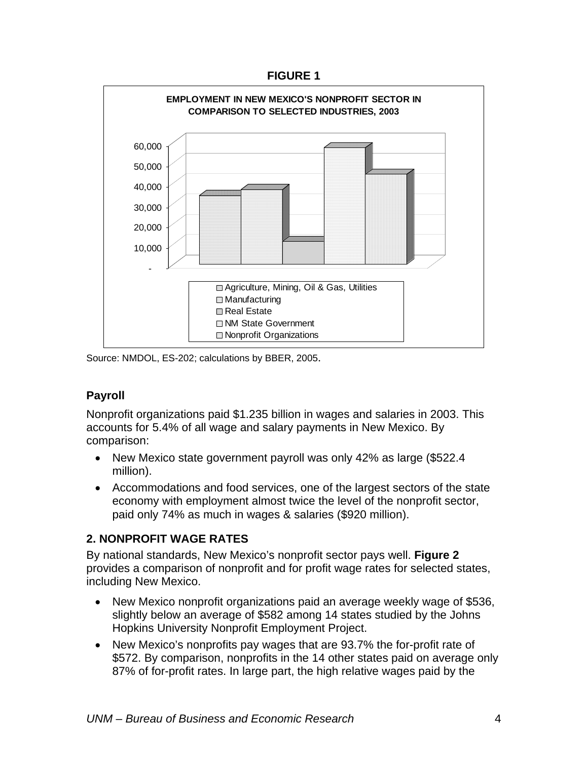**FIGURE 1** 

<span id="page-12-0"></span>

Source: NMDOL, ES-202; calculations by BBER, 2005.

## **Payroll**

Nonprofit organizations paid \$1.235 billion in wages and salaries in 2003. This accounts for 5.4% of all wage and salary payments in New Mexico. By comparison:

- New Mexico state government payroll was only 42% as large (\$522.4 million).
- Accommodations and food services, one of the largest sectors of the state economy with employment almost twice the level of the nonprofit sector, paid only 74% as much in wages & salaries (\$920 million).

## **2. NONPROFIT WAGE RATES**

By national standards, New Mexico's nonprofit sector pays well. **Figure 2** provides a comparison of nonprofit and for profit wage rates for selected states, including New Mexico.

- New Mexico nonprofit organizations paid an average weekly wage of \$536, slightly below an average of \$582 among 14 states studied by the Johns Hopkins University Nonprofit Employment Project.
- New Mexico's nonprofits pay wages that are 93.7% the for-profit rate of \$572. By comparison, nonprofits in the 14 other states paid on average only 87% of for-profit rates. In large part, the high relative wages paid by the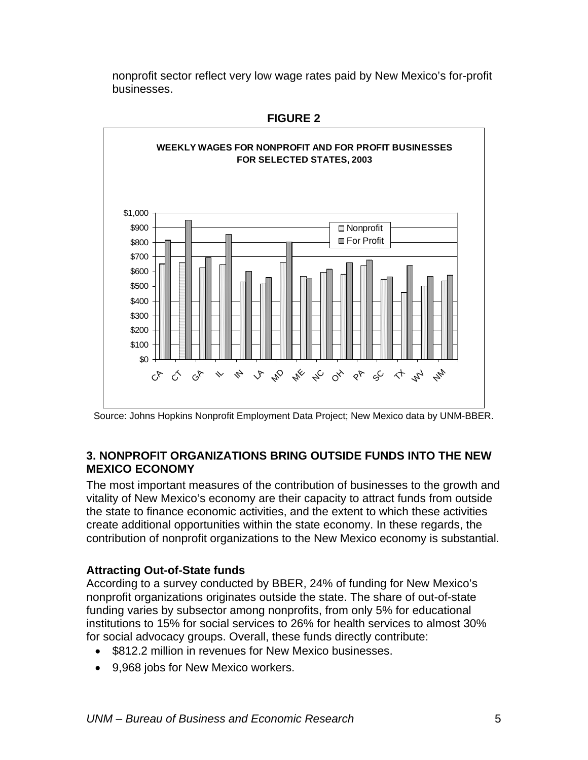<span id="page-13-0"></span>nonprofit sector reflect very low wage rates paid by New Mexico's for-profit businesses.



**FIGURE 2** 

Source: Johns Hopkins Nonprofit Employment Data Project; New Mexico data by UNM-BBER.

#### **3. NONPROFIT ORGANIZATIONS BRING OUTSIDE FUNDS INTO THE NEW MEXICO ECONOMY**

The most important measures of the contribution of businesses to the growth and vitality of New Mexico's economy are their capacity to attract funds from outside the state to finance economic activities, and the extent to which these activities create additional opportunities within the state economy. In these regards, the contribution of nonprofit organizations to the New Mexico economy is substantial.

## **Attracting Out-of-State funds**

According to a survey conducted by BBER, 24% of funding for New Mexico's nonprofit organizations originates outside the state. The share of out-of-state funding varies by subsector among nonprofits, from only 5% for educational institutions to 15% for social services to 26% for health services to almost 30% for social advocacy groups. Overall, these funds directly contribute:

- \$812.2 million in revenues for New Mexico businesses.
- 9,968 jobs for New Mexico workers.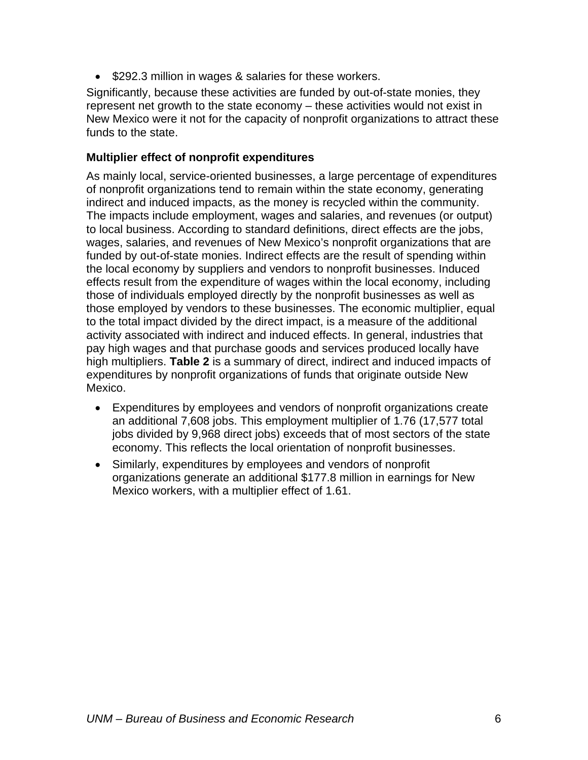• \$292.3 million in wages & salaries for these workers.

Significantly, because these activities are funded by out-of-state monies, they represent net growth to the state economy – these activities would not exist in New Mexico were it not for the capacity of nonprofit organizations to attract these funds to the state.

#### **Multiplier effect of nonprofit expenditures**

As mainly local, service-oriented businesses, a large percentage of expenditures of nonprofit organizations tend to remain within the state economy, generating indirect and induced impacts, as the money is recycled within the community. The impacts include employment, wages and salaries, and revenues (or output) to local business. According to standard definitions, direct effects are the jobs, wages, salaries, and revenues of New Mexico's nonprofit organizations that are funded by out-of-state monies. Indirect effects are the result of spending within the local economy by suppliers and vendors to nonprofit businesses. Induced effects result from the expenditure of wages within the local economy, including those of individuals employed directly by the nonprofit businesses as well as those employed by vendors to these businesses. The economic multiplier, equal to the total impact divided by the direct impact, is a measure of the additional activity associated with indirect and induced effects. In general, industries that pay high wages and that purchase goods and services produced locally have high multipliers. **Table 2** is a summary of direct, indirect and induced impacts of expenditures by nonprofit organizations of funds that originate outside New Mexico.

- Expenditures by employees and vendors of nonprofit organizations create an additional 7,608 jobs. This employment multiplier of 1.76 (17,577 total jobs divided by 9,968 direct jobs) exceeds that of most sectors of the state economy. This reflects the local orientation of nonprofit businesses.
- Similarly, expenditures by employees and vendors of nonprofit organizations generate an additional \$177.8 million in earnings for New Mexico workers, with a multiplier effect of 1.61.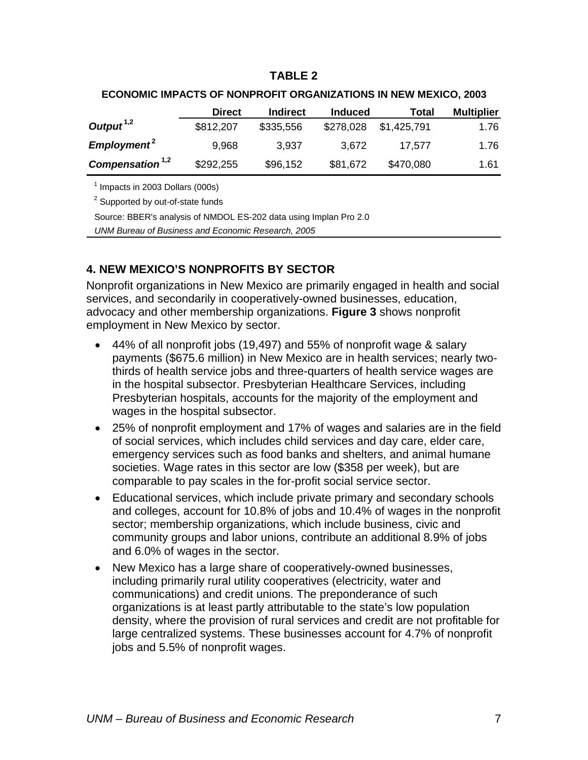#### **TABLE 2**

<span id="page-15-0"></span>

|                                    | <b>Direct</b> | <b>Indirect</b> | <b>Induced</b> | Total       | <b>Multiplier</b> |
|------------------------------------|---------------|-----------------|----------------|-------------|-------------------|
| Output <sup><math>1,2</math></sup> | \$812,207     | \$335,556       | \$278,028      | \$1,425,791 | 1.76              |
| Employment <sup>2</sup>            | 9,968         | 3,937           | 3,672          | 17.577      | 1.76              |
| Compensation <sup>1,2</sup>        | \$292,255     | \$96,152        | \$81,672       | \$470,080   | 1.61              |

#### **ECONOMIC IMPACTS OF NONPROFIT ORGANIZATIONS IN NEW MEXICO, 2003**

 $<sup>1</sup>$  Impacts in 2003 Dollars (000s)</sup>

 $2$  Supported by out-of-state funds

Source: BBER's analysis of NMDOL ES-202 data using Implan Pro 2.0

*UNM Bureau of Business and Economic Research, 2005*

## **4. NEW MEXICO'S NONPROFITS BY SECTOR**

Nonprofit organizations in New Mexico are primarily engaged in health and social services, and secondarily in cooperatively-owned businesses, education, advocacy and other membership organizations. **Figure 3** shows nonprofit employment in New Mexico by sector.

- 44% of all nonprofit jobs (19,497) and 55% of nonprofit wage & salary payments (\$675.6 million) in New Mexico are in health services; nearly twothirds of health service jobs and three-quarters of health service wages are in the hospital subsector. Presbyterian Healthcare Services, including Presbyterian hospitals, accounts for the majority of the employment and wages in the hospital subsector.
- 25% of nonprofit employment and 17% of wages and salaries are in the field of social services, which includes child services and day care, elder care, emergency services such as food banks and shelters, and animal humane societies. Wage rates in this sector are low (\$358 per week), but are comparable to pay scales in the for-profit social service sector.
- Educational services, which include private primary and secondary schools and colleges, account for 10.8% of jobs and 10.4% of wages in the nonprofit sector; membership organizations, which include business, civic and community groups and labor unions, contribute an additional 8.9% of jobs and 6.0% of wages in the sector.
- New Mexico has a large share of cooperatively-owned businesses, including primarily rural utility cooperatives (electricity, water and communications) and credit unions. The preponderance of such organizations is at least partly attributable to the state's low population density, where the provision of rural services and credit are not profitable for large centralized systems. These businesses account for 4.7% of nonprofit jobs and 5.5% of nonprofit wages.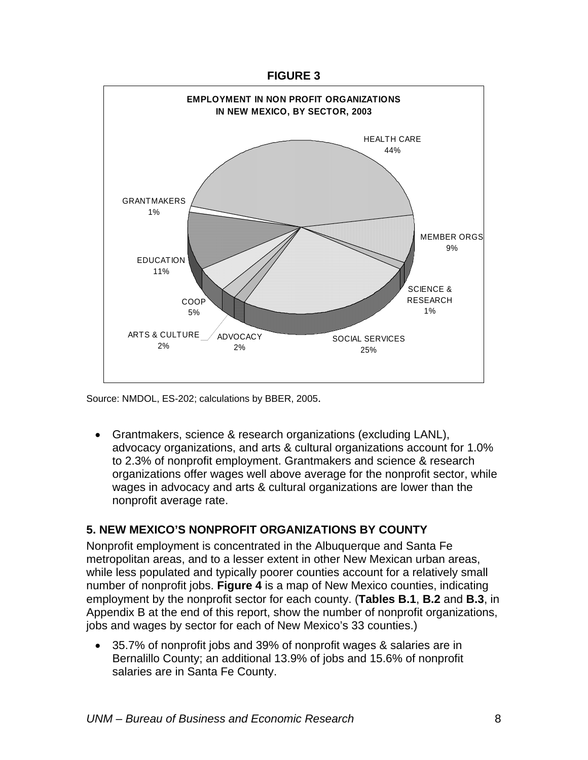#### **FIGURE 3**

<span id="page-16-0"></span>

Source: NMDOL, ES-202; calculations by BBER, 2005.

• Grantmakers, science & research organizations (excluding LANL), advocacy organizations, and arts & cultural organizations account for 1.0% to 2.3% of nonprofit employment. Grantmakers and science & research organizations offer wages well above average for the nonprofit sector, while wages in advocacy and arts & cultural organizations are lower than the nonprofit average rate.

## **5. NEW MEXICO'S NONPROFIT ORGANIZATIONS BY COUNTY**

Nonprofit employment is concentrated in the Albuquerque and Santa Fe metropolitan areas, and to a lesser extent in other New Mexican urban areas, while less populated and typically poorer counties account for a relatively small number of nonprofit jobs. **Figure 4** is a map of New Mexico counties, indicating employment by the nonprofit sector for each county. (**Tables B.1**, **B.2** and **B.3**, in Appendix B at the end of this report, show the number of nonprofit organizations, jobs and wages by sector for each of New Mexico's 33 counties.)

• 35.7% of nonprofit jobs and 39% of nonprofit wages & salaries are in Bernalillo County; an additional 13.9% of jobs and 15.6% of nonprofit salaries are in Santa Fe County.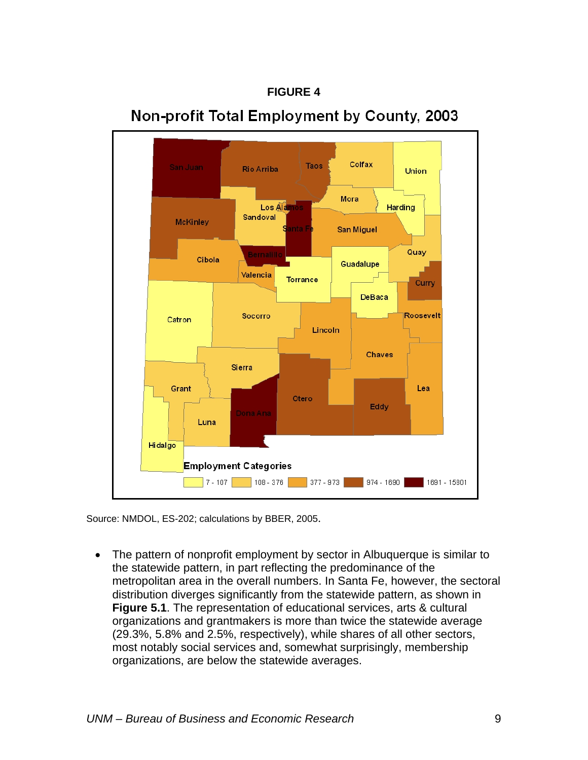

# Non-profit Total Employment by County, 2003

**FIGURE 4** 

Source: NMDOL, ES-202; calculations by BBER, 2005.

• The pattern of nonprofit employment by sector in Albuquerque is similar to the statewide pattern, in part reflecting the predominance of the metropolitan area in the overall numbers. In Santa Fe, however, the sectoral distribution diverges significantly from the statewide pattern, as shown in **Figure 5.1**. The representation of educational services, arts & cultural organizations and grantmakers is more than twice the statewide average (29.3%, 5.8% and 2.5%, respectively), while shares of all other sectors, most notably social services and, somewhat surprisingly, membership organizations, are below the statewide averages.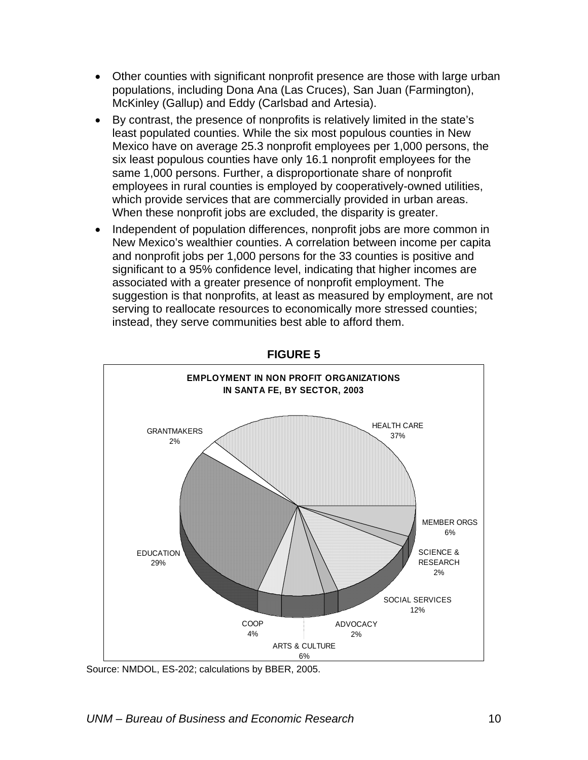- Other counties with significant nonprofit presence are those with large urban populations, including Dona Ana (Las Cruces), San Juan (Farmington), McKinley (Gallup) and Eddy (Carlsbad and Artesia).
- By contrast, the presence of nonprofits is relatively limited in the state's least populated counties. While the six most populous counties in New Mexico have on average 25.3 nonprofit employees per 1,000 persons, the six least populous counties have only 16.1 nonprofit employees for the same 1,000 persons. Further, a disproportionate share of nonprofit employees in rural counties is employed by cooperatively-owned utilities, which provide services that are commercially provided in urban areas. When these nonprofit jobs are excluded, the disparity is greater.
- Independent of population differences, nonprofit jobs are more common in New Mexico's wealthier counties. A correlation between income per capita and nonprofit jobs per 1,000 persons for the 33 counties is positive and significant to a 95% confidence level, indicating that higher incomes are associated with a greater presence of nonprofit employment. The suggestion is that nonprofits, at least as measured by employment, are not serving to reallocate resources to economically more stressed counties; instead, they serve communities best able to afford them.



**FIGURE 5** 

Source: NMDOL, ES-202; calculations by BBER, 2005.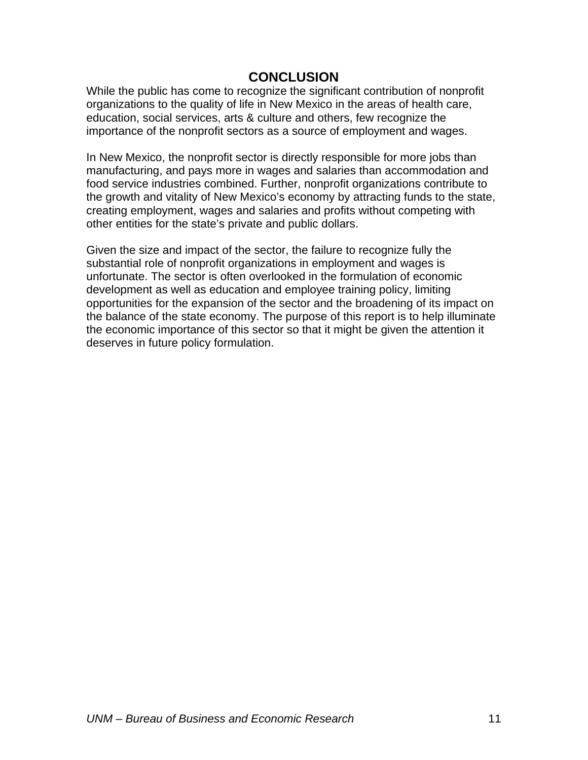## **CONCLUSION**

<span id="page-19-0"></span>While the public has come to recognize the significant contribution of nonprofit organizations to the quality of life in New Mexico in the areas of health care, education, social services, arts & culture and others, few recognize the importance of the nonprofit sectors as a source of employment and wages.

In New Mexico, the nonprofit sector is directly responsible for more jobs than manufacturing, and pays more in wages and salaries than accommodation and food service industries combined. Further, nonprofit organizations contribute to the growth and vitality of New Mexico's economy by attracting funds to the state, creating employment, wages and salaries and profits without competing with other entities for the state's private and public dollars.

Given the size and impact of the sector, the failure to recognize fully the substantial role of nonprofit organizations in employment and wages is unfortunate. The sector is often overlooked in the formulation of economic development as well as education and employee training policy, limiting opportunities for the expansion of the sector and the broadening of its impact on the balance of the state economy. The purpose of this report is to help illuminate the economic importance of this sector so that it might be given the attention it deserves in future policy formulation.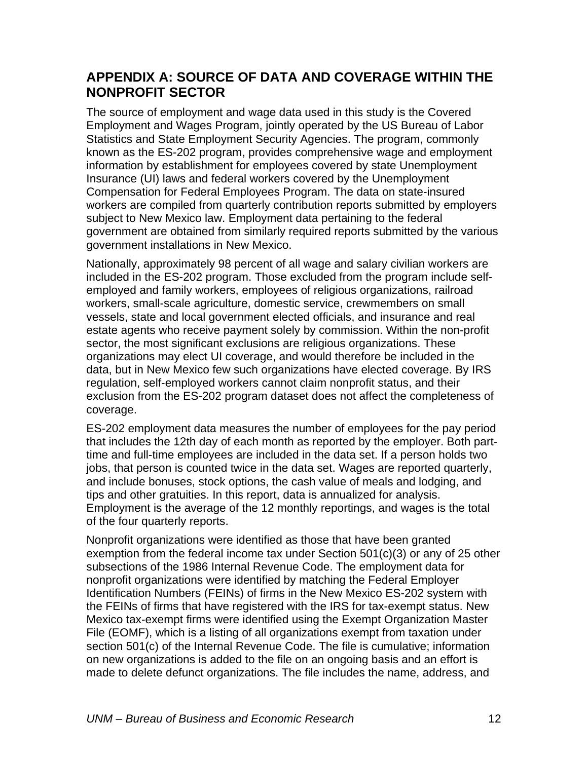# <span id="page-20-0"></span>**APPENDIX A: SOURCE OF DATA AND COVERAGE WITHIN THE NONPROFIT SECTOR**

The source of employment and wage data used in this study is the Covered Employment and Wages Program, jointly operated by the US Bureau of Labor Statistics and State Employment Security Agencies. The program, commonly known as the ES-202 program, provides comprehensive wage and employment information by establishment for employees covered by state Unemployment Insurance (UI) laws and federal workers covered by the Unemployment Compensation for Federal Employees Program. The data on state-insured workers are compiled from quarterly contribution reports submitted by employers subject to New Mexico law. Employment data pertaining to the federal government are obtained from similarly required reports submitted by the various government installations in New Mexico.

Nationally, approximately 98 percent of all wage and salary civilian workers are included in the ES-202 program. Those excluded from the program include selfemployed and family workers, employees of religious organizations, railroad workers, small-scale agriculture, domestic service, crewmembers on small vessels, state and local government elected officials, and insurance and real estate agents who receive payment solely by commission. Within the non-profit sector, the most significant exclusions are religious organizations. These organizations may elect UI coverage, and would therefore be included in the data, but in New Mexico few such organizations have elected coverage. By IRS regulation, self-employed workers cannot claim nonprofit status, and their exclusion from the ES-202 program dataset does not affect the completeness of coverage.

ES-202 employment data measures the number of employees for the pay period that includes the 12th day of each month as reported by the employer. Both parttime and full-time employees are included in the data set. If a person holds two jobs, that person is counted twice in the data set. Wages are reported quarterly, and include bonuses, stock options, the cash value of meals and lodging, and tips and other gratuities. In this report, data is annualized for analysis. Employment is the average of the 12 monthly reportings, and wages is the total of the four quarterly reports.

Nonprofit organizations were identified as those that have been granted exemption from the federal income tax under Section 501(c)(3) or any of 25 other subsections of the 1986 Internal Revenue Code. The employment data for nonprofit organizations were identified by matching the Federal Employer Identification Numbers (FEINs) of firms in the New Mexico ES-202 system with the FEINs of firms that have registered with the IRS for tax-exempt status. New Mexico tax-exempt firms were identified using the Exempt Organization Master File (EOMF), which is a listing of all organizations exempt from taxation under section 501(c) of the Internal Revenue Code. The file is cumulative; information on new organizations is added to the file on an ongoing basis and an effort is made to delete defunct organizations. The file includes the name, address, and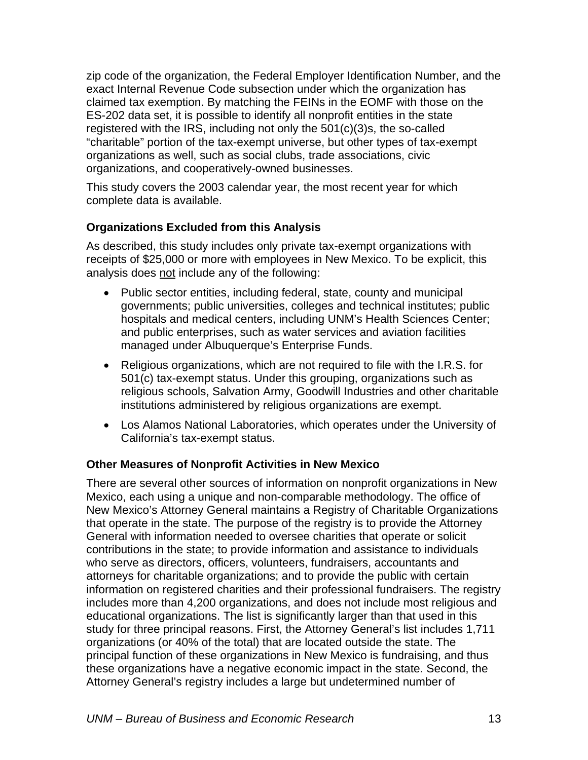zip code of the organization, the Federal Employer Identification Number, and the exact Internal Revenue Code subsection under which the organization has claimed tax exemption. By matching the FEINs in the EOMF with those on the ES-202 data set, it is possible to identify all nonprofit entities in the state registered with the IRS, including not only the 501(c)(3)s, the so-called "charitable" portion of the tax-exempt universe, but other types of tax-exempt organizations as well, such as social clubs, trade associations, civic organizations, and cooperatively-owned businesses.

This study covers the 2003 calendar year, the most recent year for which complete data is available.

## **Organizations Excluded from this Analysis**

As described, this study includes only private tax-exempt organizations with receipts of \$25,000 or more with employees in New Mexico. To be explicit, this analysis does not include any of the following:

- Public sector entities, including federal, state, county and municipal governments; public universities, colleges and technical institutes; public hospitals and medical centers, including UNM's Health Sciences Center; and public enterprises, such as water services and aviation facilities managed under Albuquerque's Enterprise Funds.
- Religious organizations, which are not required to file with the I.R.S. for 501(c) tax-exempt status. Under this grouping, organizations such as religious schools, Salvation Army, Goodwill Industries and other charitable institutions administered by religious organizations are exempt.
- Los Alamos National Laboratories, which operates under the University of California's tax-exempt status.

## **Other Measures of Nonprofit Activities in New Mexico**

There are several other sources of information on nonprofit organizations in New Mexico, each using a unique and non-comparable methodology. The office of New Mexico's Attorney General maintains a Registry of Charitable Organizations that operate in the state. The purpose of the registry is to provide the Attorney General with information needed to oversee charities that operate or solicit contributions in the state; to provide information and assistance to individuals who serve as directors, officers, volunteers, fundraisers, accountants and attorneys for charitable organizations; and to provide the public with certain information on registered charities and their professional fundraisers. The registry includes more than 4,200 organizations, and does not include most religious and educational organizations. The list is significantly larger than that used in this study for three principal reasons. First, the Attorney General's list includes 1,711 organizations (or 40% of the total) that are located outside the state. The principal function of these organizations in New Mexico is fundraising, and thus these organizations have a negative economic impact in the state. Second, the Attorney General's registry includes a large but undetermined number of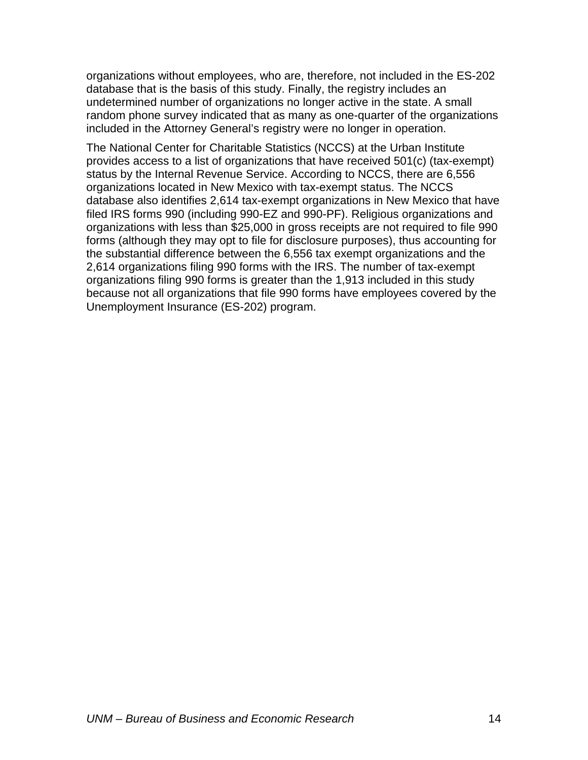organizations without employees, who are, therefore, not included in the ES-202 database that is the basis of this study. Finally, the registry includes an undetermined number of organizations no longer active in the state. A small random phone survey indicated that as many as one-quarter of the organizations included in the Attorney General's registry were no longer in operation.

The National Center for Charitable Statistics (NCCS) at the Urban Institute provides access to a list of organizations that have received 501(c) (tax-exempt) status by the Internal Revenue Service. According to NCCS, there are 6,556 organizations located in New Mexico with tax-exempt status. The NCCS database also identifies 2,614 tax-exempt organizations in New Mexico that have filed IRS forms 990 (including 990-EZ and 990-PF). Religious organizations and organizations with less than \$25,000 in gross receipts are not required to file 990 forms (although they may opt to file for disclosure purposes), thus accounting for the substantial difference between the 6,556 tax exempt organizations and the 2,614 organizations filing 990 forms with the IRS. The number of tax-exempt organizations filing 990 forms is greater than the 1,913 included in this study because not all organizations that file 990 forms have employees covered by the Unemployment Insurance (ES-202) program.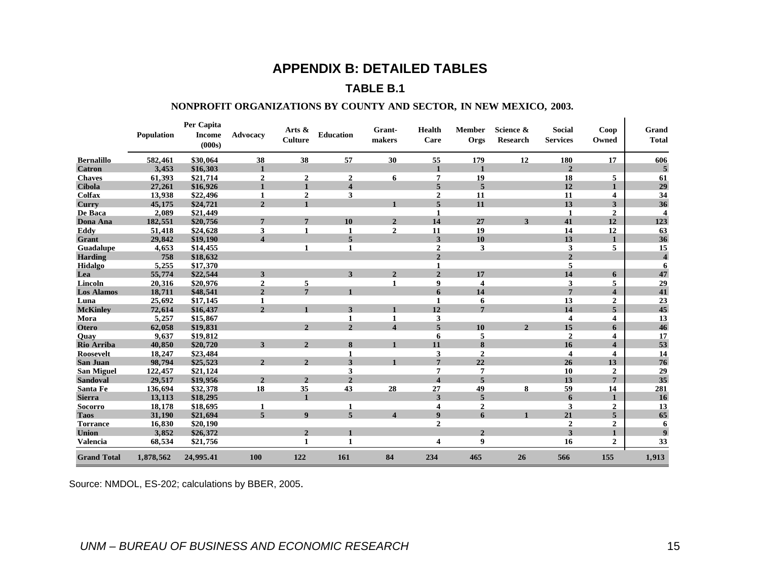## **APPENDIX B: DETAILED TABLES**

#### **TABLE B.1**

#### **NONPROFIT ORGANIZATIONS BY COUNTY AND SECTOR, IN NEW MEXICO, 2003.**

|                    | <b>Population</b> | Per Capita<br><b>Income</b><br>(000s) | Advocacv                | Arts $\&$<br>Culture | <b>Education</b>         | Grant-<br>makers        | <b>Health</b><br>Care | <b>Member</b><br>Orgs | Science &<br>Research | <b>Social</b><br><b>Services</b> | Coop<br>Owned           | Grand<br><b>Total</b>   |
|--------------------|-------------------|---------------------------------------|-------------------------|----------------------|--------------------------|-------------------------|-----------------------|-----------------------|-----------------------|----------------------------------|-------------------------|-------------------------|
| <b>Bernalillo</b>  | 582,461           | \$30,064                              | 38                      | 38                   | 57                       | 30                      | 55                    | 179                   | 12                    | 180                              | 17                      | 606                     |
| <b>Catron</b>      | 3,453             | \$16,303                              | $\mathbf{1}$            |                      |                          |                         | $\blacksquare$        |                       |                       | $\overline{2}$                   |                         | 5                       |
| <b>Chaves</b>      | 61,393            | \$21,714                              | $\overline{2}$          | $\boldsymbol{2}$     | $\overline{2}$           | 6                       | 7                     | 19                    |                       | 18                               | 5                       | 61                      |
| <b>Cibola</b>      | 27,261            | \$16,926                              | $\mathbf{1}$            | $\mathbf{1}$         | $\overline{\mathbf{4}}$  |                         | 5                     | 5                     |                       | 12                               | $\mathbf{1}$            | 29                      |
| <b>Colfax</b>      | 13,938            | \$22,496                              | 1                       | $\overline{2}$       | 3                        |                         | $\overline{2}$        | 11                    |                       | 11                               | 4                       | 34                      |
| Curry              | 45,175            | \$24,721                              | $\overline{2}$          | $\blacksquare$       |                          |                         | 5                     | 11                    |                       | 13                               | 3                       | 36                      |
| De Baca            | 2,089             | \$21,449                              |                         |                      |                          |                         | 1                     |                       |                       | 1                                | $\overline{2}$          | $\overline{\mathbf{4}}$ |
| Dona Ana           | 182,551           | \$20,756                              | $\overline{7}$          | $\overline{7}$       | 10                       | $\overline{2}$          | 14                    | 27                    | 3                     | 41                               | 12                      | 123                     |
| Eddy               | 51,418            | \$24,628                              | 3                       | $\blacksquare$       | $\mathbf{1}$             | $\overline{2}$          | 11                    | 19                    |                       | 14                               | 12                      | 63                      |
| Grant              | 29,842            | \$19,190                              | $\overline{\mathbf{4}}$ |                      | 5                        |                         | 3                     | 10                    |                       | 13                               | $\mathbf{1}$            | 36                      |
| <b>Guadalupe</b>   | 4,653             | \$14,455                              |                         | 1                    | $\mathbf{1}$             |                         | $\overline{2}$        | 3                     |                       | 3                                | 5                       | 15                      |
| <b>Harding</b>     | 758               | \$18,632                              |                         |                      |                          |                         | $\mathbf{2}$          |                       |                       | $\boldsymbol{2}$                 |                         | $\overline{\mathbf{4}}$ |
| Hidalgo            | 5,255             | \$17,370                              |                         |                      |                          |                         | 1                     |                       |                       | 5                                |                         | 6                       |
| Lea                | 55,774            | \$22,544                              | 3                       |                      | 3                        | $\overline{2}$          | $\overline{2}$        | 17                    |                       | 14                               | 6                       | 47                      |
| Lincoln            | 20,316            | \$20,976                              | $\boldsymbol{2}$        | 5                    |                          | 1                       | 9                     | 4                     |                       | 3                                | 5                       | 29                      |
| <b>Los Alamos</b>  | 18,711            | \$48,541                              | $\overline{2}$          | $\overline{7}$       |                          |                         | 6                     | 14                    |                       | $\overline{7}$                   | $\overline{\mathbf{4}}$ | 41                      |
| Luna               | 25,692            | \$17,145                              | $\mathbf{1}$            |                      |                          |                         | 1                     | 6                     |                       | 13                               | 2                       | 23                      |
| <b>McKinley</b>    | 72,614            | \$16,437                              | $\overline{2}$          |                      | 3                        |                         | 12                    | $\overline{7}$        |                       | 14                               | 5                       | 45                      |
| Mora               | 5,257             | \$15,867                              |                         |                      | 1                        | 1                       | 3                     |                       |                       | 4                                | 4                       | 13                      |
| <b>Otero</b>       | 62,058            | \$19,831                              |                         | $\mathcal{L}$        | $\overline{\mathcal{L}}$ | 4                       | 5                     | 10                    | $\mathcal{D}$         | 15                               | 6                       | 46                      |
| Ouav               | 9,637             | \$19,812                              |                         |                      |                          |                         | 6                     | 5                     |                       | $\boldsymbol{2}$                 | 4                       | <b>17</b>               |
| Rio Arriba         | 40.850            | \$20,720                              | $\mathbf{3}$            | $\mathcal{L}$        | 8                        |                         | 11                    | 8                     |                       | 16                               | $\Delta$                | 53                      |
| Roosevelt          | 18,247            | \$23,484                              |                         |                      | 1                        |                         | 3                     | $\boldsymbol{2}$      |                       | $\overline{\mathbf{4}}$          | 4                       | 14                      |
| <b>San Juan</b>    | 98,794            | \$25,523                              | $\overline{2}$          | $\overline{2}$       | 3                        |                         | $\overline{7}$        | 22                    |                       | 26                               | 13                      | 76                      |
| <b>San Miguel</b>  | 122,457           | \$21,124                              |                         |                      | 3                        |                         | 7                     | 7                     |                       | 10                               | $\overline{2}$          | 29                      |
| <b>Sandoval</b>    | 29,517            | \$19,956                              | $\overline{2}$          | $\overline{2}$       | $\overline{2}$           |                         | 4                     | 5                     |                       | 13                               | $7\phantom{.0}$         | 35                      |
| Santa Fe           | 136,694           | \$32,378                              | 18                      | 35                   | 43                       | 28                      | 27                    | 49                    | 8                     | 59                               | 14                      | 281                     |
| <b>Sierra</b>      | 13,113            | \$18,295                              |                         | $\blacksquare$       |                          |                         | 3                     | 5                     |                       | 6                                | $\blacksquare$          | 16                      |
| <b>Socorro</b>     | 18,178            | \$18,695                              | 1                       |                      | 1                        |                         | 4                     | $\overline{2}$        |                       | 3                                | $\mathbf{2}$            | 13                      |
| <b>Taos</b>        | 31.190            | \$21,694                              | 5                       | $\boldsymbol{9}$     | 5                        | $\overline{\mathbf{4}}$ | 9                     | 6                     |                       | 21                               | 5                       | 65                      |
| <b>Torrance</b>    | 16,830            | \$20,190                              |                         |                      |                          |                         | $\mathbf{2}$          |                       |                       | $\overline{2}$                   | 2                       | 6                       |
| Union              | 3,852             | \$26,372                              |                         | $\overline{2}$       |                          |                         |                       | $\overline{2}$        |                       | 3                                | $\blacksquare$          | 9                       |
| <b>Valencia</b>    | 68,534            | \$21,756                              |                         | 1                    | 1                        |                         | 4                     | 9                     |                       | 16                               | 2                       | 33                      |
| <b>Grand Total</b> | 1,878,562         | 24,995.41                             | 100                     | 122                  | 161                      | 84                      | 234                   | 465                   | 26                    | 566                              | 155                     | 1,913                   |

<span id="page-23-0"></span>Source: NMDOL, ES-202; calculations by BBER, 2005.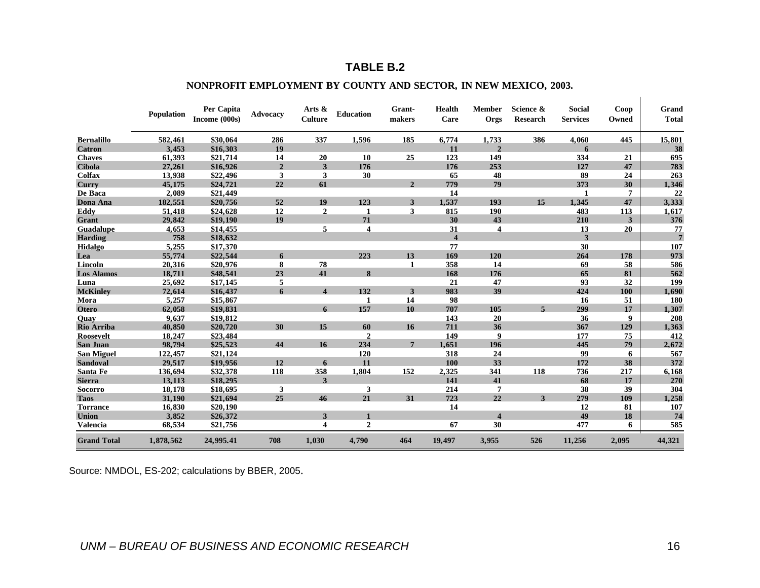## **TABLE B.2**

#### **NONPROFIT EMPLOYMENT BY COUNTY AND SECTOR, IN NEW MEXICO, 2003.**

|                    | Population | Per Capita<br>Income (000s) | Advocacy       | Arts &<br><b>Culture</b> | <b>Education</b> | Grant-<br>makers | Health<br>Care          | <b>Member</b><br>Orgs | Science &<br><b>Research</b> | Social<br><b>Services</b> | Coop<br>Owned | Grand<br><b>Total</b> |
|--------------------|------------|-----------------------------|----------------|--------------------------|------------------|------------------|-------------------------|-----------------------|------------------------------|---------------------------|---------------|-----------------------|
| <b>Bernalillo</b>  | 582,461    | \$30,064                    | 286            | 337                      | 1,596            | 185              | 6,774                   | 1,733                 | 386                          | 4.060                     | 445           | 15,801                |
| <b>Catron</b>      | 3.453      | \$16,303                    | 19             |                          |                  |                  | 11                      | $\overline{2}$        |                              | 6                         |               | 38                    |
| <b>Chaves</b>      | 61,393     | \$21,714                    | 14             | 20                       | 10               | 25               | 123                     | 149                   |                              | 334                       | 21            | 695                   |
| <b>Cibola</b>      | 27,261     | \$16,926                    | $\overline{2}$ | 3                        | 176              |                  | 176                     | 253                   |                              | 127                       | 47            | 783                   |
| Colfax             | 13,938     | \$22,496                    | 3              | 3                        | 30               |                  | 65                      | 48                    |                              | 89                        | 24            | 263                   |
| Curry              | 45,175     | \$24,721                    | 22             | 61                       |                  | $\overline{2}$   | 779                     | 79                    |                              | 373                       | 30            | 1,346                 |
| De Baca            | 2,089      | \$21,449                    |                |                          |                  |                  | 14                      |                       |                              | 1                         | 7             | 22                    |
| Dona Ana           | 182,551    | \$20,756                    | 52             | 19                       | 123              | 3                | 1,537                   | 193                   | 15                           | 1,345                     | 47            | 3,333                 |
| Eddy               | 51,418     | \$24,628                    | 12             | $\overline{2}$           | 1                | 3                | 815                     | 190                   |                              | 483                       | 113           | 1,617                 |
| Grant              | 29,842     | \$19,190                    | 19             |                          | 71               |                  | 30                      | 43                    |                              | 210                       | 3             | 376                   |
| Guadalupe          | 4,653      | \$14,455                    |                | 5                        | 4                |                  | 31                      | 4                     |                              | 13                        | 20            | 77                    |
| <b>Harding</b>     | 758        | \$18,632                    |                |                          |                  |                  | $\overline{\mathbf{4}}$ |                       |                              | 3                         |               | $7\phantom{.0}$       |
| Hidalgo            | 5,255      | \$17,370                    |                |                          |                  |                  | 77                      |                       |                              | 30                        |               | 107                   |
| Lea                | 55,774     | \$22,544                    | 6              |                          | 223              | 13               | 169                     | 120                   |                              | 264                       | 178           | 973                   |
| Lincoln            | 20,316     | \$20,976                    | 8              | 78                       |                  | 1                | 358                     | 14                    |                              | 69                        | 58            | 586                   |
| <b>Los Alamos</b>  | 18,711     | \$48,541                    | 23             | 41                       | 8                |                  | 168                     | 176                   |                              | 65                        | 81            | 562                   |
| Luna               | 25,692     | \$17,145                    | 5              |                          |                  |                  | 21                      | 47                    |                              | 93                        | 32            | 199                   |
| <b>McKinley</b>    | 72,614     | \$16,437                    | 6              | $\overline{\mathbf{4}}$  | 132              | 3                | 983                     | 39                    |                              | 424                       | 100           | 1,690                 |
| Mora               | 5,257      | \$15,867                    |                |                          | -1               | 14               | 98                      |                       |                              | 16                        | 51            | 180                   |
| <b>Otero</b>       | 62,058     | \$19,831                    |                | 6                        | 157              | 10               | 707                     | 105                   | $\overline{\phantom{a}}$     | 299                       | 17            | 1,307                 |
| Quay               | 9.637      | \$19,812                    |                |                          |                  |                  | 143                     | 20                    |                              | 36                        | 9             | 208                   |
| Rio Arriba         | 40,850     | \$20,720                    | 30             | 15                       | 60               | 16               | 711                     | 36                    |                              | 367                       | 129           | 1,363                 |
| Roosevelt          | 18,247     | \$23,484                    |                |                          | $\overline{2}$   |                  | 149                     | $\boldsymbol{9}$      |                              | 177                       | 75            | 412                   |
| <b>San Juan</b>    | 98,794     | \$25,523                    | 44             | 16                       | 234              | $\overline{7}$   | 1,651                   | 196                   |                              | 445                       | 79            | 2,672                 |
| <b>San Miguel</b>  | 122,457    | \$21,124                    |                |                          | 120              |                  | 318                     | 24                    |                              | 99                        | 6             | 567                   |
| <b>Sandoval</b>    | 29,517     | \$19,956                    | 12             | 6                        | 11               |                  | 100                     | 33                    |                              | 172                       | 38            | 372                   |
| Santa Fe           | 136,694    | \$32,378                    | 118            | 358                      | 1,804            | 152              | 2,325                   | 341                   | 118                          | 736                       | 217           | 6,168                 |
| <b>Sierra</b>      | 13,113     | \$18,295                    |                | 3                        |                  |                  | 141                     | 41                    |                              | 68                        | 17            | 270                   |
| <b>Socorro</b>     | 18,178     | \$18,695                    | 3              |                          | 3                |                  | 214                     | 7                     |                              | 38                        | 39            | 304                   |
| <b>Taos</b>        | 31,190     | \$21,694                    | 25             | 46                       | 21               | 31               | 723                     | 22                    | 3                            | 279                       | 109           | 1,258                 |
| <b>Torrance</b>    | 16,830     | \$20,190                    |                |                          |                  |                  | 14                      |                       |                              | 12                        | 81            | 107                   |
| <b>Union</b>       | 3,852      | \$26,372                    |                | 3                        |                  |                  |                         | $\Delta$              |                              | 49                        | 18            | 74                    |
| <b>Valencia</b>    | 68,534     | \$21,756                    |                | 4                        | $\overline{2}$   |                  | 67                      | 30                    |                              | 477                       | 6             | 585                   |
| <b>Grand Total</b> | 1,878,562  | 24,995.41                   | 708            | 1,030                    | 4,790            | 464              | 19,497                  | 3,955                 | 526                          | 11,256                    | 2,095         | 44,321                |

Source: NMDOL, ES-202; calculations by BBER, 2005.